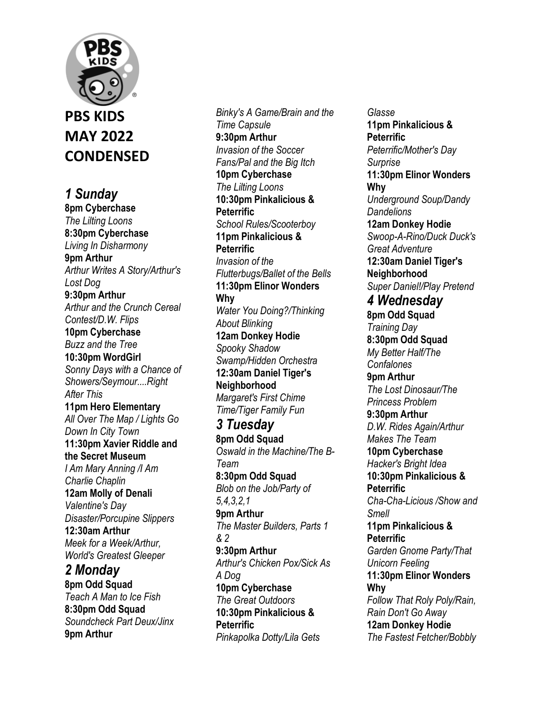## **PBS KIDS MAY 2022 CONDENSED**

*1 Sunday* 

**8pm Cyberchase**  *The Lilting Loons*  **8:30pm Cyberchase**  *Living In Disharmony*  **9pm Arthur**  *Arthur Writes A Story/Arthur's Lost Dog*  **9:30pm Arthur**  *Arthur and the Crunch Cereal Contest/D.W. Flips*  **10pm Cyberchase**  *Buzz and the Tree*  **10:30pm WordGirl**  *Sonny Days with a Chance of Showers/Seymour....Right After This*  **11pm Hero Elementary**  *All Over The Map / Lights Go Down In City Town*  **11:30pm Xavier Riddle and the Secret Museum**  *I Am Mary Anning /I Am Charlie Chaplin*  **12am Molly of Denali**  *Valentine's Day Disaster/Porcupine Slippers*  **12:30am Arthur**  *Meek for a Week/Arthur, World's Greatest Gleeper 2 Monday*  **8pm Odd Squad** 

*Teach A Man to Ice Fish*  **8:30pm Odd Squad**  *Soundcheck Part Deux/Jinx*  **9pm Arthur** 

*Binky's A Game/Brain and the Time Capsule*  **9:30pm Arthur**  *Invasion of the Soccer Fans/Pal and the Big Itch*  **10pm Cyberchase**  *The Lilting Loons*  **10:30pm Pinkalicious & Peterrific**  *School Rules/Scooterboy*  **11pm Pinkalicious & Peterrific**  *Invasion of the Flutterbugs/Ballet of the Bells*  **11:30pm Elinor Wonders Why**  *Water You Doing?/Thinking About Blinking*  **12am Donkey Hodie**  *Spooky Shadow Swamp/Hidden Orchestra*  **12:30am Daniel Tiger's Neighborhood**  *Margaret's First Chime Time/Tiger Family Fun 3 Tuesday*  **8pm Odd Squad**  *Oswald in the Machine/The B-Team*  **8:30pm Odd Squad**  *Blob on the Job/Party of 5,4,3,2,1*  **9pm Arthur**  *The Master Builders, Parts 1 & 2*  **9:30pm Arthur**  *Arthur's Chicken Pox/Sick As A Dog*  **10pm Cyberchase**  *The Great Outdoors*  **10:30pm Pinkalicious & Peterrific** 

*Pinkapolka Dotty/Lila Gets* 

*Glasse*  **11pm Pinkalicious & Peterrific**  *Peterrific/Mother's Day Surprise*  **11:30pm Elinor Wonders Why**  *Underground Soup/Dandy Dandelions*  **12am Donkey Hodie**  *Swoop-A-Rino/Duck Duck's Great Adventure*  **12:30am Daniel Tiger's Neighborhood**  *Super Daniel!/Play Pretend 4 Wednesday*  **8pm Odd Squad**  *Training Day*  **8:30pm Odd Squad**  *My Better Half/The Confalones*  **9pm Arthur**  *The Lost Dinosaur/The Princess Problem*  **9:30pm Arthur**  *D.W. Rides Again/Arthur Makes The Team*  **10pm Cyberchase**  *Hacker's Bright Idea*  **10:30pm Pinkalicious & Peterrific**  *Cha-Cha-Licious /Show and Smell*  **11pm Pinkalicious & Peterrific**  *Garden Gnome Party/That Unicorn Feeling*  **11:30pm Elinor Wonders Why**  *Follow That Roly Poly/Rain, Rain Don't Go Away*  **12am Donkey Hodie**  *The Fastest Fetcher/Bobbly*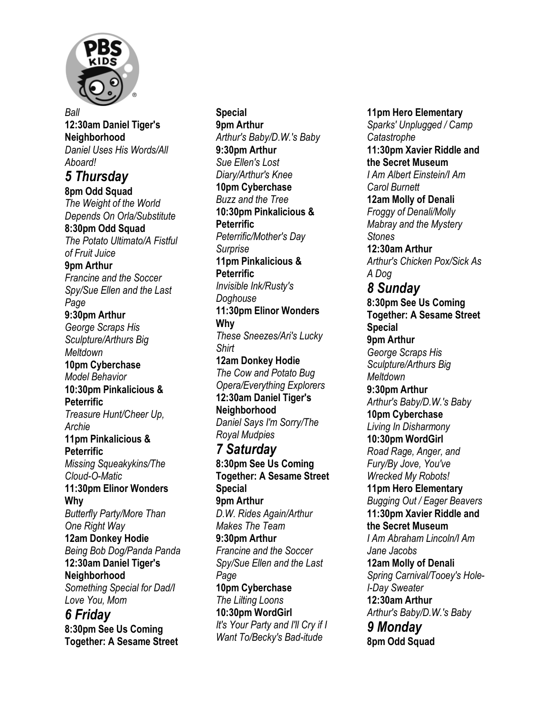

*Ball*  **12:30am Daniel Tiger's Neighborhood**  *Daniel Uses His Words/All Aboard! 5 Thursday*  **8pm Odd Squad**  *The Weight of the World Depends On Orla/Substitute*  **8:30pm Odd Squad**  *The Potato Ultimato/A Fistful of Fruit Juice*  **9pm Arthur**  *Francine and the Soccer Spy/Sue Ellen and the Last Page*  **9:30pm Arthur**  *George Scraps His Sculpture/Arthurs Big Meltdown*  **10pm Cyberchase**  *Model Behavior*  **10:30pm Pinkalicious & Peterrific**  *Treasure Hunt/Cheer Up, Archie*  **11pm Pinkalicious & Peterrific** *Missing Squeakykins/The Cloud-O-Matic*  **11:30pm Elinor Wonders Why**  *Butterfly Party/More Than One Right Way*  **12am Donkey Hodie**  *Being Bob Dog/Panda Panda*  **12:30am Daniel Tiger's Neighborhood**  *Something Special for Dad/I Love You, Mom 6 Friday* 

**8:30pm See Us Coming Together: A Sesame Street** 

**Special 9pm Arthur**  *Arthur's Baby/D.W.'s Baby*  **9:30pm Arthur**  *Sue Ellen's Lost Diary/Arthur's Knee*  **10pm Cyberchase**  *Buzz and the Tree*  **10:30pm Pinkalicious & Peterrific**  *Peterrific/Mother's Day Surprise*  **11pm Pinkalicious & Peterrific**  *Invisible Ink/Rusty's Doghouse*  **11:30pm Elinor Wonders Why**  *These Sneezes/Ari's Lucky Shirt*  **12am Donkey Hodie**  *The Cow and Potato Bug Opera/Everything Explorers*  **12:30am Daniel Tiger's Neighborhood**  *Daniel Says I'm Sorry/The Royal Mudpies 7 Saturday*  **8:30pm See Us Coming Together: A Sesame Street Special 9pm Arthur**  *D.W. Rides Again/Arthur Makes The Team*  **9:30pm Arthur**  *Francine and the Soccer Spy/Sue Ellen and the Last Page*  **10pm Cyberchase**  *The Lilting Loons*  **10:30pm WordGirl**  *It's Your Party and I'll Cry if I Want To/Becky's Bad-itude* 

**11pm Hero Elementary**  *Sparks' Unplugged / Camp Catastrophe*  **11:30pm Xavier Riddle and the Secret Museum**  *I Am Albert Einstein/I Am Carol Burnett*  **12am Molly of Denali**  *Froggy of Denali/Molly Mabray and the Mystery Stones*  **12:30am Arthur**  *Arthur's Chicken Pox/Sick As A Dog 8 Sunday*  **8:30pm See Us Coming Together: A Sesame Street Special 9pm Arthur**  *George Scraps His Sculpture/Arthurs Big Meltdown*  **9:30pm Arthur**  *Arthur's Baby/D.W.'s Baby*  **10pm Cyberchase**  *Living In Disharmony*  **10:30pm WordGirl**  *Road Rage, Anger, and Fury/By Jove, You've Wrecked My Robots!*  **11pm Hero Elementary**  *Bugging Out / Eager Beavers*  **11:30pm Xavier Riddle and the Secret Museum**  *I Am Abraham Lincoln/I Am Jane Jacobs*  **12am Molly of Denali**  *Spring Carnival/Tooey's Hole-I-Day Sweater*  **12:30am Arthur**  *Arthur's Baby/D.W.'s Baby 9 Monday*  **8pm Odd Squad**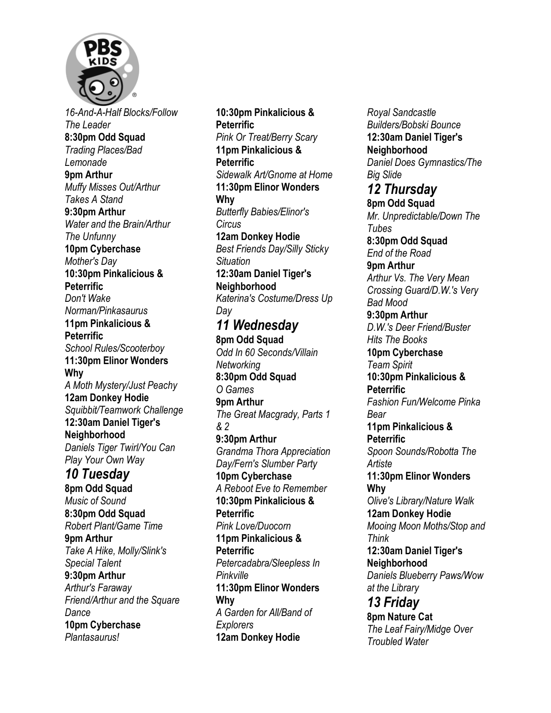

*16-And-A-Half Blocks/Follow The Leader*  **8:30pm Odd Squad**  *Trading Places/Bad Lemonade*  **9pm Arthur**  *Muffy Misses Out/Arthur Takes A Stand*  **9:30pm Arthur**  *Water and the Brain/Arthur The Unfunny*  **10pm Cyberchase**  *Mother's Day*  **10:30pm Pinkalicious & Peterrific**  *Don't Wake Norman/Pinkasaurus*  **11pm Pinkalicious & Peterrific**  *School Rules/Scooterboy*  **11:30pm Elinor Wonders Why**  *A Moth Mystery/Just Peachy*  **12am Donkey Hodie**  *Squibbit/Teamwork Challenge*  **12:30am Daniel Tiger's Neighborhood**  *Daniels Tiger Twirl/You Can Play Your Own Way 10 Tuesday*  **8pm Odd Squad**  *Music of Sound*  **8:30pm Odd Squad**  *Robert Plant/Game Time*  **9pm Arthur**  *Take A Hike, Molly/Slink's Special Talent*  **9:30pm Arthur**  *Arthur's Faraway Friend/Arthur and the Square Dance* 

**10pm Cyberchase**  *Plantasaurus!* 

**10:30pm Pinkalicious & Peterrific**  *Pink Or Treat/Berry Scary*  **11pm Pinkalicious & Peterrific**  *Sidewalk Art/Gnome at Home*  **11:30pm Elinor Wonders Why**  *Butterfly Babies/Elinor's Circus*  **12am Donkey Hodie**  *Best Friends Day/Silly Sticky Situation*  **12:30am Daniel Tiger's Neighborhood**  *Katerina's Costume/Dress Up Day 11 Wednesday*  **8pm Odd Squad**  *Odd In 60 Seconds/Villain Networking*  **8:30pm Odd Squad**  *O Games*  **9pm Arthur**  *The Great Macgrady, Parts 1 & 2*  **9:30pm Arthur**  *Grandma Thora Appreciation Day/Fern's Slumber Party*  **10pm Cyberchase**  *A Reboot Eve to Remember*  **10:30pm Pinkalicious & Peterrific**  *Pink Love/Duocorn*  **11pm Pinkalicious & Peterrific**  *Petercadabra/Sleepless In Pinkville*  **11:30pm Elinor Wonders Why**  *A Garden for All/Band of Explorers*  **12am Donkey Hodie** 

*Royal Sandcastle Builders/Bobski Bounce*  **12:30am Daniel Tiger's Neighborhood**  *Daniel Does Gymnastics/The Big Slide 12 Thursday*  **8pm Odd Squad**  *Mr. Unpredictable/Down The Tubes*  **8:30pm Odd Squad**  *End of the Road*  **9pm Arthur**  *Arthur Vs. The Very Mean Crossing Guard/D.W.'s Very Bad Mood*  **9:30pm Arthur**  *D.W.'s Deer Friend/Buster Hits The Books*  **10pm Cyberchase**  *Team Spirit*  **10:30pm Pinkalicious & Peterrific**  *Fashion Fun/Welcome Pinka Bear*  **11pm Pinkalicious & Peterrific**  *Spoon Sounds/Robotta The Artiste*  **11:30pm Elinor Wonders Why**  *Olive's Library/Nature Walk*  **12am Donkey Hodie**  *Mooing Moon Moths/Stop and Think*  **12:30am Daniel Tiger's Neighborhood**  *Daniels Blueberry Paws/Wow at the Library 13 Friday*  **8pm Nature Cat**  *The Leaf Fairy/Midge Over Troubled Water*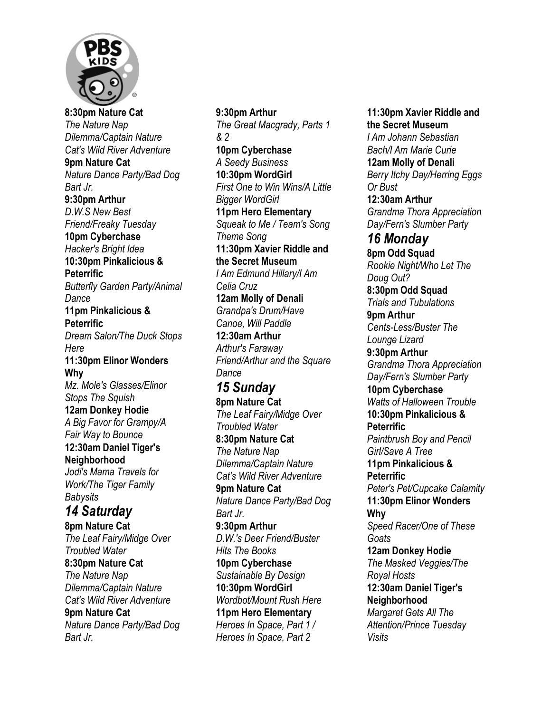

**8:30pm Nature Cat**  *The Nature Nap Dilemma/Captain Nature Cat's Wild River Adventure*  **9pm Nature Cat**  *Nature Dance Party/Bad Dog Bart Jr.*  **9:30pm Arthur**  *D.W.S New Best Friend/Freaky Tuesday*  **10pm Cyberchase**  *Hacker's Bright Idea*  **10:30pm Pinkalicious & Peterrific**  *Butterfly Garden Party/Animal Dance*  **11pm Pinkalicious & Peterrific**  *Dream Salon/The Duck Stops Here*  **11:30pm Elinor Wonders Why**  *Mz. Mole's Glasses/Elinor Stops The Squish*  **12am Donkey Hodie**  *A Big Favor for Grampy/A Fair Way to Bounce*  **12:30am Daniel Tiger's Neighborhood**  *Jodi's Mama Travels for Work/The Tiger Family Babysits 14 Saturday*  **8pm Nature Cat**  *The Leaf Fairy/Midge Over Troubled Water*  **8:30pm Nature Cat**  *The Nature Nap Dilemma/Captain Nature Cat's Wild River Adventure*  **9pm Nature Cat**  *Nature Dance Party/Bad Dog Bart Jr.* 

**9:30pm Arthur**  *The Great Macgrady, Parts 1 & 2*  **10pm Cyberchase**  *A Seedy Business*  **10:30pm WordGirl**  *First One to Win Wins/A Little Bigger WordGirl*  **11pm Hero Elementary**  *Squeak to Me / Team's Song Theme Song*  **11:30pm Xavier Riddle and the Secret Museum**  *I Am Edmund Hillary/I Am Celia Cruz*  **12am Molly of Denali**  *Grandpa's Drum/Have Canoe, Will Paddle*  **12:30am Arthur**  *Arthur's Faraway Friend/Arthur and the Square Dance 15 Sunday*  **8pm Nature Cat**  *The Leaf Fairy/Midge Over Troubled Water*  **8:30pm Nature Cat**  *The Nature Nap Dilemma/Captain Nature Cat's Wild River Adventure*  **9pm Nature Cat**  *Nature Dance Party/Bad Dog Bart Jr.*  **9:30pm Arthur**  *D.W.'s Deer Friend/Buster Hits The Books*  **10pm Cyberchase**  *Sustainable By Design*  **10:30pm WordGirl**  *Wordbot/Mount Rush Here*  **11pm Hero Elementary**  *Heroes In Space, Part 1 / Heroes In Space, Part 2* 

**11:30pm Xavier Riddle and the Secret Museum**  *I Am Johann Sebastian Bach/I Am Marie Curie*  **12am Molly of Denali**  *Berry Itchy Day/Herring Eggs Or Bust*  **12:30am Arthur**  *Grandma Thora Appreciation Day/Fern's Slumber Party 16 Monday*  **8pm Odd Squad**  *Rookie Night/Who Let The Doug Out?*  **8:30pm Odd Squad**  *Trials and Tubulations*  **9pm Arthur**  *Cents-Less/Buster The Lounge Lizard*  **9:30pm Arthur**  *Grandma Thora Appreciation Day/Fern's Slumber Party*  **10pm Cyberchase**  *Watts of Halloween Trouble*  **10:30pm Pinkalicious & Peterrific**  *Paintbrush Boy and Pencil Girl/Save A Tree*  **11pm Pinkalicious & Peterrific**  *Peter's Pet/Cupcake Calamity*  **11:30pm Elinor Wonders Why**  *Speed Racer/One of These Goats*  **12am Donkey Hodie**  *The Masked Veggies/The Royal Hosts*  **12:30am Daniel Tiger's Neighborhood**  *Margaret Gets All The Attention/Prince Tuesday Visits*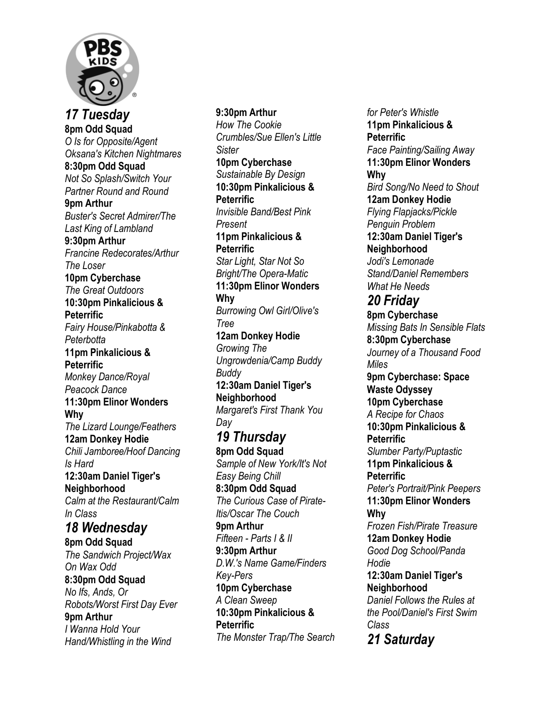

*17 Tuesday*  **8pm Odd Squad**  *O Is for Opposite/Agent Oksana's Kitchen Nightmares*  **8:30pm Odd Squad**  *Not So Splash/Switch Your Partner Round and Round*  **9pm Arthur**  *Buster's Secret Admirer/The Last King of Lambland*  **9:30pm Arthur**  *Francine Redecorates/Arthur The Loser*  **10pm Cyberchase**  *The Great Outdoors*  **10:30pm Pinkalicious & Peterrific**  *Fairy House/Pinkabotta & Peterbotta*  **11pm Pinkalicious & Peterrific**  *Monkey Dance/Royal Peacock Dance*  **11:30pm Elinor Wonders Why**  *The Lizard Lounge/Feathers*  **12am Donkey Hodie**  *Chili Jamboree/Hoof Dancing Is Hard*  **12:30am Daniel Tiger's Neighborhood**  *Calm at the Restaurant/Calm In Class 18 Wednesday*  **8pm Odd Squad**  *The Sandwich Project/Wax On Wax Odd*  **8:30pm Odd Squad**  *No Ifs, Ands, Or Robots/Worst First Day Ever*  **9pm Arthur**  *I Wanna Hold Your Hand/Whistling in the Wind* 

## **9:30pm Arthur**  *How The Cookie Crumbles/Sue Ellen's Little Sister*  **10pm Cyberchase**  *Sustainable By Design*  **10:30pm Pinkalicious & Peterrific**  *Invisible Band/Best Pink Present*  **11pm Pinkalicious & Peterrific**  *Star Light, Star Not So Bright/The Opera-Matic*  **11:30pm Elinor Wonders Why**  *Burrowing Owl Girl/Olive's Tree*  **12am Donkey Hodie**  *Growing The Ungrowdenia/Camp Buddy Buddy*  **12:30am Daniel Tiger's Neighborhood**  *Margaret's First Thank You Day 19 Thursday*  **8pm Odd Squad**  *Sample of New York/It's Not Easy Being Chill*  **8:30pm Odd Squad**  *The Curious Case of Pirate-Itis/Oscar The Couch*  **9pm Arthur**  *Fifteen - Parts I & II*  **9:30pm Arthur**  *D.W.'s Name Game/Finders Key-Pers*  **10pm Cyberchase**  *A Clean Sweep*  **10:30pm Pinkalicious & Peterrific**  *The Monster Trap/The Search*

*for Peter's Whistle*  **11pm Pinkalicious & Peterrific**  *Face Painting/Sailing Away*  **11:30pm Elinor Wonders Why**  *Bird Song/No Need to Shout*  **12am Donkey Hodie**  *Flying Flapjacks/Pickle Penguin Problem*  **12:30am Daniel Tiger's Neighborhood**  *Jodi's Lemonade Stand/Daniel Remembers What He Needs 20 Friday*  **8pm Cyberchase**  *Missing Bats In Sensible Flats*  **8:30pm Cyberchase**  *Journey of a Thousand Food Miles*  **9pm Cyberchase: Space Waste Odyssey 10pm Cyberchase**  *A Recipe for Chaos*  **10:30pm Pinkalicious & Peterrific**  *Slumber Party/Puptastic*  **11pm Pinkalicious & Peterrific**  *Peter's Portrait/Pink Peepers*  **11:30pm Elinor Wonders Why**  *Frozen Fish/Pirate Treasure* **12am Donkey Hodie**  *Good Dog School/Panda Hodie*  **12:30am Daniel Tiger's Neighborhood**  *Daniel Follows the Rules at the Pool/Daniel's First Swim Class 21 Saturday*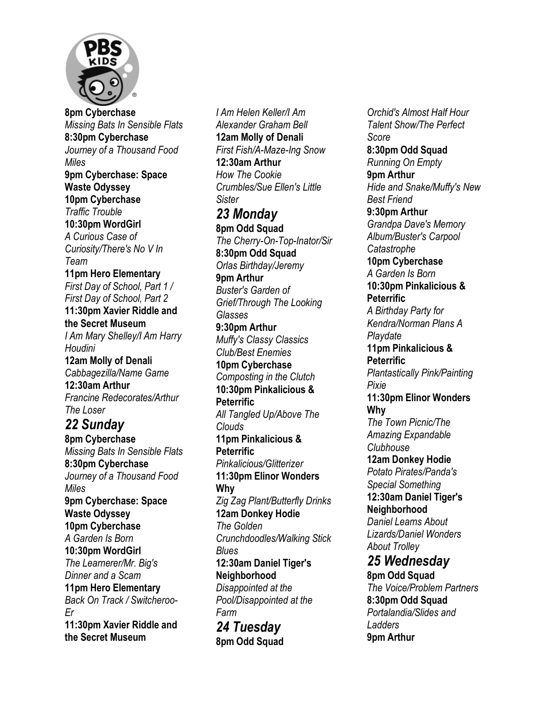

**8pm Cyberchase**  *Missing Bats In Sensible Flats*  **8:30pm Cyberchase**  *Journey of a Thousand Food Miles*  **9pm Cyberchase: Space Waste Odyssey 10pm Cyberchase**  *Traffic Trouble*  **10:30pm WordGirl**  *A Curious Case of Curiosity/There's No V In Team*  **11pm Hero Elementary**  *First Day of School, Part 1 / First Day of School, Part 2*  **11:30pm Xavier Riddle and the Secret Museum**  *I Am Mary Shelley/I Am Harry Houdini*  **12am Molly of Denali**  *Cabbagezilla/Name Game*  **12:30am Arthur**  *Francine Redecorates/Arthur The Loser 22 Sunday*  **8pm Cyberchase**  *Missing Bats In Sensible Flats*  **8:30pm Cyberchase**  *Journey of a Thousand Food Miles*  **9pm Cyberchase: Space Waste Odyssey 10pm Cyberchase**  *A Garden Is Born*  **10:30pm WordGirl**  *The Learnerer/Mr. Big's Dinner and a Scam*  **11pm Hero Elementary**  *Back On Track / Switcheroo-Er*  **11:30pm Xavier Riddle and the Secret Museum** 

*I Am Helen Keller/I Am Alexander Graham Bell*  **12am Molly of Denali**  *First Fish/A-Maze-Ing Snow*  **12:30am Arthur**  *How The Cookie Crumbles/Sue Ellen's Little Sister 23 Monday*  **8pm Odd Squad**  *The Cherry-On-Top-Inator/Sir*  **8:30pm Odd Squad**  *Orlas Birthday/Jeremy*  **9pm Arthur**  *Buster's Garden of Grief/Through The Looking Glasses*  **9:30pm Arthur**  *Muffy's Classy Classics Club/Best Enemies*  **10pm Cyberchase**  *Composting in the Clutch*  **10:30pm Pinkalicious & Peterrific**  *All Tangled Up/Above The Clouds*  **11pm Pinkalicious & Peterrific**  *Pinkalicious/Glitterizer*  **11:30pm Elinor Wonders Why**  *Zig Zag Plant/Butterfly Drinks*  **12am Donkey Hodie**  *The Golden Crunchdoodles/Walking Stick Blues*  **12:30am Daniel Tiger's Neighborhood**  *Disappointed at the Pool/Disappointed at the Farm 24 Tuesday*  **8pm Odd Squad** 

*Orchid's Almost Half Hour Talent Show/The Perfect Score*  **8:30pm Odd Squad**  *Running On Empty*  **9pm Arthur**  *Hide and Snake/Muffy's New Best Friend*  **9:30pm Arthur**  *Grandpa Dave's Memory Album/Buster's Carpool Catastrophe*  **10pm Cyberchase**  *A Garden Is Born*  **10:30pm Pinkalicious & Peterrific**  *A Birthday Party for Kendra/Norman Plans A Playdate*  **11pm Pinkalicious & Peterrific**  *Plantastically Pink/Painting Pixie*  **11:30pm Elinor Wonders Why**  *The Town Picnic/The Amazing Expandable Clubhouse*  **12am Donkey Hodie**  *Potato Pirates/Panda's Special Something*  **12:30am Daniel Tiger's Neighborhood**  *Daniel Learns About Lizards/Daniel Wonders About Trolley 25 Wednesday*  **8pm Odd Squad**  *The Voice/Problem Partners*  **8:30pm Odd Squad**  *Portalandia/Slides and Ladders*  **9pm Arthur**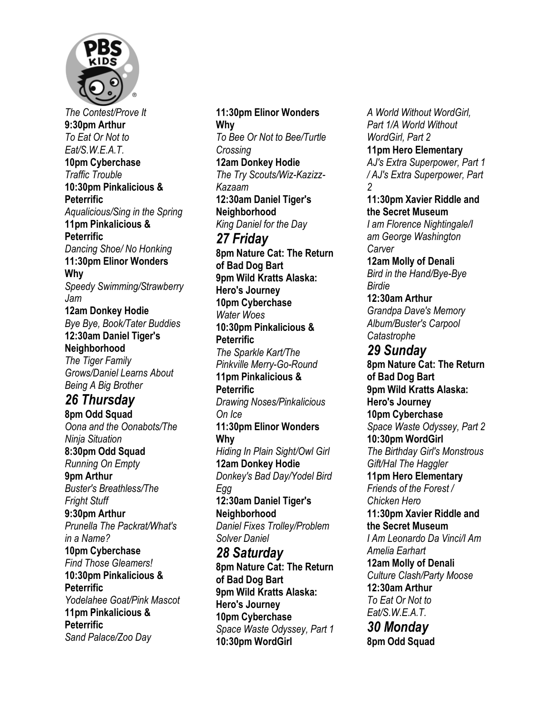

*The Contest/Prove It*  **9:30pm Arthur**  *To Eat Or Not to Eat/S.W.E.A.T.*  **10pm Cyberchase**  *Traffic Trouble*  **10:30pm Pinkalicious & Peterrific**  *Aqualicious/Sing in the Spring*  **11pm Pinkalicious & Peterrific**  *Dancing Shoe/ No Honking*  **11:30pm Elinor Wonders Why**  *Speedy Swimming/Strawberry Jam*  **12am Donkey Hodie**  *Bye Bye, Book/Tater Buddies*  **12:30am Daniel Tiger's Neighborhood**  *The Tiger Family Grows/Daniel Learns About Being A Big Brother 26 Thursday*  **8pm Odd Squad**  *Oona and the Oonabots/The Ninja Situation*  **8:30pm Odd Squad**  *Running On Empty*  **9pm Arthur**  *Buster's Breathless/The Fright Stuff*  **9:30pm Arthur**  *Prunella The Packrat/What's in a Name?*  **10pm Cyberchase**  *Find Those Gleamers!*  **10:30pm Pinkalicious & Peterrific**  *Yodelahee Goat/Pink Mascot*  **11pm Pinkalicious & Peterrific**  *Sand Palace/Zoo Day* 

**11:30pm Elinor Wonders Why**  *To Bee Or Not to Bee/Turtle Crossing*  **12am Donkey Hodie**  *The Try Scouts/Wiz-Kazizz-Kazaam*  **12:30am Daniel Tiger's Neighborhood**  *King Daniel for the Day 27 Friday*  **8pm Nature Cat: The Return of Bad Dog Bart 9pm Wild Kratts Alaska: Hero's Journey 10pm Cyberchase**  *Water Woes*  **10:30pm Pinkalicious & Peterrific**  *The Sparkle Kart/The Pinkville Merry-Go-Round*  **11pm Pinkalicious & Peterrific**  *Drawing Noses/Pinkalicious On Ice*  **11:30pm Elinor Wonders Why**  *Hiding In Plain Sight/Owl Girl*  **12am Donkey Hodie**  *Donkey's Bad Day/Yodel Bird Egg*  **12:30am Daniel Tiger's Neighborhood**  *Daniel Fixes Trolley/Problem Solver Daniel 28 Saturday*  **8pm Nature Cat: The Return of Bad Dog Bart 9pm Wild Kratts Alaska: Hero's Journey 10pm Cyberchase**  *Space Waste Odyssey, Part 1*  **10:30pm WordGirl** 

*A World Without WordGirl, Part 1/A World Without WordGirl, Part 2*  **11pm Hero Elementary**  *AJ's Extra Superpower, Part 1 / AJ's Extra Superpower, Part 2*  **11:30pm Xavier Riddle and the Secret Museum**  *I am Florence Nightingale/I am George Washington Carver*  **12am Molly of Denali**  *Bird in the Hand/Bye-Bye Birdie*  **12:30am Arthur**  *Grandpa Dave's Memory Album/Buster's Carpool Catastrophe 29 Sunday*  **8pm Nature Cat: The Return of Bad Dog Bart 9pm Wild Kratts Alaska: Hero's Journey 10pm Cyberchase**  *Space Waste Odyssey, Part 2*  **10:30pm WordGirl**  *The Birthday Girl's Monstrous Gift/Hal The Haggler*  **11pm Hero Elementary**  *Friends of the Forest / Chicken Hero*  **11:30pm Xavier Riddle and the Secret Museum**  *I Am Leonardo Da Vinci/I Am Amelia Earhart*  **12am Molly of Denali**  *Culture Clash/Party Moose*  **12:30am Arthur**  *To Eat Or Not to Eat/S.W.E.A.T. 30 Monday*  **8pm Odd Squad**